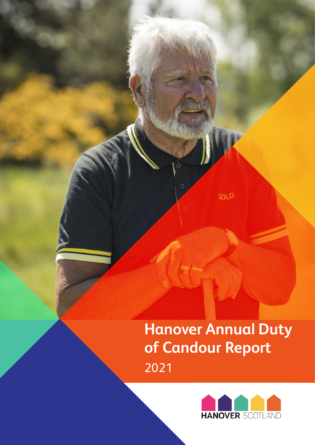**Hanover Annual Duty of Candour Report**  2021

GOLD

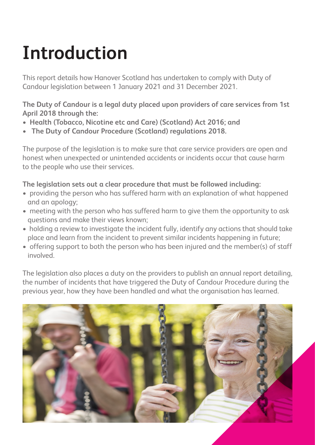# **Introduction**

This report details how Hanover Scotland has undertaken to comply with Duty of Candour legislation between 1 January 2021 and 31 December 2021.

**The Duty of Candour is a legal duty placed upon providers of care services from 1st April 2018 through the:** 

- **Health (Tobacco, Nicotine etc and Care) (Scotland) Act 2016; and**
- **The Duty of Candour Procedure (Scotland) regulations 2018.**

The purpose of the legislation is to make sure that care service providers are open and honest when unexpected or unintended accidents or incidents occur that cause harm to the people who use their services.

### **The legislation sets out a clear procedure that must be followed including:**

- providing the person who has suffered harm with an explanation of what happened and an apology;
- meeting with the person who has suffered harm to give them the opportunity to ask questions and make their views known;
- holding a review to investigate the incident fully, identify any actions that should take place and learn from the incident to prevent similar incidents happening in future;
- offering support to both the person who has been injured and the member(s) of staff involved.

The legislation also places a duty on the providers to publish an annual report detailing, the number of incidents that have triggered the Duty of Candour Procedure during the previous year, how they have been handled and what the organisation has learned.

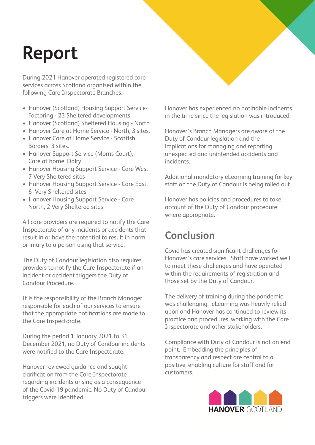## **Report**

During 2021 Hanover operated registered care services across Scotland organised within the following Care Inspectorate Branches:-

- Hanover (Scotland) Housing Support Service- Factoring - 23 Sheltered developments
- Hanover (Scotland) Sheltered Housing North
- Hanover Care at Home Service North, 3 sites.
- Hanover Care at Home Service Scottish Borders, 3 sites.
- Hanover Support Service (Morris Court), Care at home, Dalry
- Hanover Housing Support Service Care West, 7 Very Sheltered sites
- Hanover Housing Support Service Care East, 6 Very Sheltered sites
- Hanover Housing Support Service Care North, 2 Very Sheltered sites

All care providers are required to notify the Care Inspectorate of any incidents or accidents that result in or have the potential to result in harm or injury to a person using that service.

The Duty of Candour legislation also requires providers to notify the Care Inspectorate if an incident or accident triggers the Duty of Candour Procedure.

It is the responsibility of the Branch Manager responsible for each of our services to ensure that the appropriate notifications are made to the Care Inspectorate.

During the period 1 January 2021 to 31 December 2021, no Duty of Candour incidents were notified to the Care Inspectorate.

Hanover reviewed guidance and sought clarification from the Care Inspectorate regarding incidents arising as a consequence of the Covid-19 pandemic. No Duty of Candour triggers were identified.

Hanover has experienced no notifiable incidents in the time since the legislation was introduced.

Hanover's Branch Managers are aware of the Duty of Candour legislation and the implications for managing and reporting unexpected and unintended accidents and incidents.

Additional mandatory eLearning training for key staff on the Duty of Candour is being rolled out.

Hanover has policies and procedures to take account of the Duty of Candour procedure where appropriate.

### **Conclusion**

Covid has created significant challenges for Hanover's care services. Staff have worked well to meet these challenges and have operated within the requirements of registration and those set by the Duty of Candour.

The delivery of training during the pandemic was challenging. eLearning was heavily relied upon and Hanover has continued to review its practice and procedures, working with the Care Inspectorate and other stakeholders.

Compliance with Duty of Candour is not an end point. Embedding the principles of transparency and respect are central to a positive, enabling culture for staff and for customers.